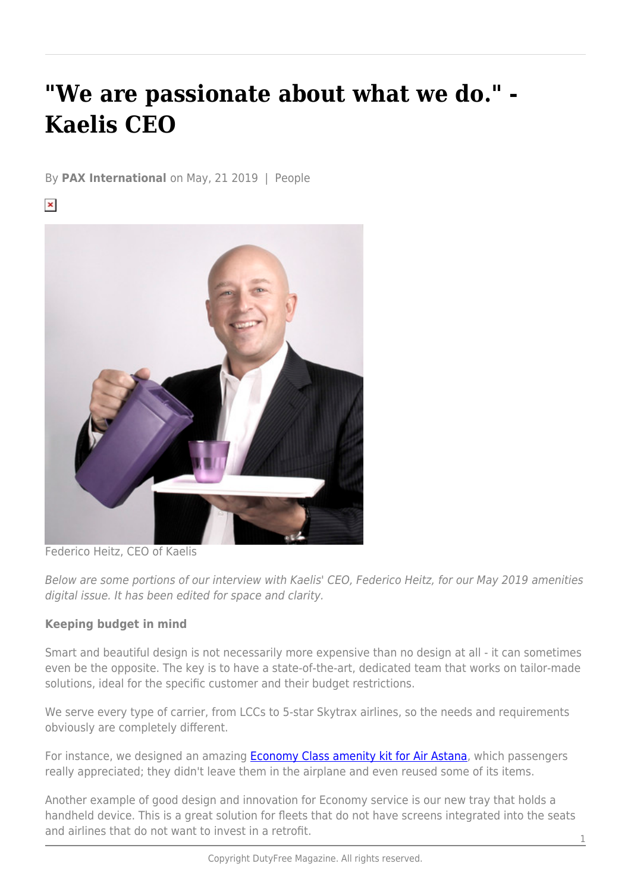# **"We are passionate about what we do." - Kaelis CEO**

By **PAX International** on May, 21 2019 | People

 $\pmb{\times}$ 



Federico Heitz, CEO of Kaelis

Below are some portions of our interview with Kaelis' CEO, Federico Heitz, for our May 2019 amenities digital issue. It has been edited for space and clarity.

# **Keeping budget in mind**

Smart and beautiful design is not necessarily more expensive than no design at all - it can sometimes even be the opposite. The key is to have a state-of-the-art, dedicated team that works on tailor-made solutions, ideal for the specific customer and their budget restrictions.

We serve every type of carrier, from LCCs to 5-star Skytrax airlines, so the needs and requirements obviously are completely different.

For instance, we designed an amazing **Economy Class amenity kit for Air Astana**, which passengers really appreciated; they didn't leave them in the airplane and even reused some of its items.

Another example of good design and innovation for Economy service is our new tray that holds a handheld device. This is a great solution for fleets that do not have screens integrated into the seats and airlines that do not want to invest in a retrofit.